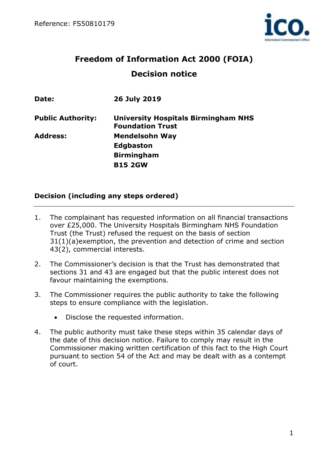

# **Freedom of Information Act 2000 (FOIA) Decision notice**

| Date:                    | 26 July 2019                                                          |
|--------------------------|-----------------------------------------------------------------------|
| <b>Public Authority:</b> | <b>University Hospitals Birmingham NHS</b><br><b>Foundation Trust</b> |
| <b>Address:</b>          | <b>Mendelsohn Way</b>                                                 |
|                          | <b>Edgbaston</b>                                                      |
|                          | <b>Birmingham</b>                                                     |
|                          | <b>B15 2GW</b>                                                        |

## **Decision (including any steps ordered)**

- 1. The complainant has requested information on all financial transactions over £25,000. The University Hospitals Birmingham NHS Foundation Trust (the Trust) refused the request on the basis of section 31(1)(a)exemption, the prevention and detection of crime and section 43(2), commercial interests.
- 2. The Commissioner's decision is that the Trust has demonstrated that sections 31 and 43 are engaged but that the public interest does not favour maintaining the exemptions.
- 3. The Commissioner requires the public authority to take the following steps to ensure compliance with the legislation.
	- Disclose the requested information.
- 4. The public authority must take these steps within 35 calendar days of the date of this decision notice. Failure to comply may result in the Commissioner making written certification of this fact to the High Court pursuant to section 54 of the Act and may be dealt with as a contempt of court.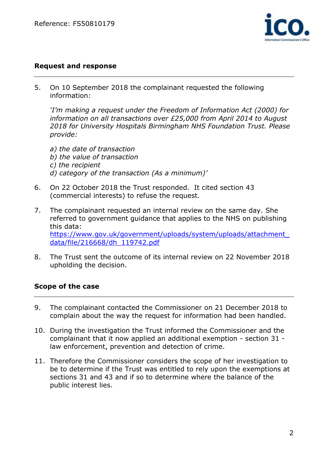

#### **Request and response**

5. On 10 September 2018 the complainant requested the following information:

*'I'm making a request under the Freedom of Information Act (2000) for information on all transactions over £25,000 from April 2014 to August 2018 for University Hospitals Birmingham NHS Foundation Trust. Please provide:*

- *a) the date of transaction b) the value of transaction c) the recipient d) category of the transaction (As a minimum)'*
- 6. On 22 October 2018 the Trust responded. It cited section 43 (commercial interests) to refuse the request.
- 7. The complainant requested an internal review on the same day. She referred to government guidance that applies to the NHS on publishing this data: [https://www.gov.uk/government/uploads/system/uploads/attachment\\_](https://www.gov.uk/government/uploads/system/uploads/attachment_data/file/216668/dh_119742.pdf) [data/file/216668/dh\\_119742.pdf](https://www.gov.uk/government/uploads/system/uploads/attachment_data/file/216668/dh_119742.pdf)
- 8. The Trust sent the outcome of its internal review on 22 November 2018 upholding the decision.

## **Scope of the case**

- 9. The complainant contacted the Commissioner on 21 December 2018 to complain about the way the request for information had been handled.
- 10. During the investigation the Trust informed the Commissioner and the complainant that it now applied an additional exemption - section 31 law enforcement, prevention and detection of crime.
- 11. Therefore the Commissioner considers the scope of her investigation to be to determine if the Trust was entitled to rely upon the exemptions at sections 31 and 43 and if so to determine where the balance of the public interest lies.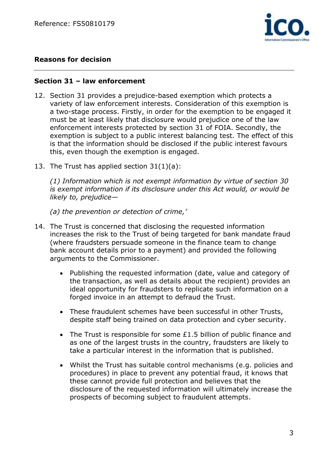

## **Reasons for decision**

#### **Section 31 – law enforcement**

- 12. Section 31 provides a prejudice-based exemption which protects a variety of law enforcement interests. Consideration of this exemption is a two-stage process. Firstly, in order for the exemption to be engaged it must be at least likely that disclosure would prejudice one of the law enforcement interests protected by section 31 of FOIA. Secondly, the exemption is subject to a public interest balancing test. The effect of this is that the information should be disclosed if the public interest favours this, even though the exemption is engaged.
- 13. The Trust has applied section 31(1)(a):

*(1) Information which is not exempt information by virtue of section 30 is exempt information if its disclosure under this Act would, or would be likely to, prejudice—*

*(a) the prevention or detection of crime,'*

- 14. The Trust is concerned that disclosing the requested information increases the risk to the Trust of being targeted for bank mandate fraud (where fraudsters persuade someone in the finance team to change bank account details prior to a payment) and provided the following arguments to the Commissioner.
	- Publishing the requested information (date, value and category of the transaction, as well as details about the recipient) provides an ideal opportunity for fraudsters to replicate such information on a forged invoice in an attempt to defraud the Trust.
	- These fraudulent schemes have been successful in other Trusts, despite staff being trained on data protection and cyber security.
	- The Trust is responsible for some £1.5 billion of public finance and as one of the largest trusts in the country, fraudsters are likely to take a particular interest in the information that is published.
	- Whilst the Trust has suitable control mechanisms (e.g. policies and procedures) in place to prevent any potential fraud, it knows that these cannot provide full protection and believes that the disclosure of the requested information will ultimately increase the prospects of becoming subject to fraudulent attempts.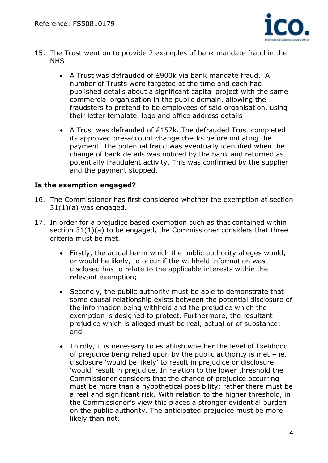

- 15. The Trust went on to provide 2 examples of bank mandate fraud in the NHS:
	- A Trust was defrauded of £900k via bank mandate fraud. A number of Trusts were targeted at the time and each had published details about a significant capital project with the same commercial organisation in the public domain, allowing the fraudsters to pretend to be employees of said organisation, using their letter template, logo and office address details
	- A Trust was defrauded of £157k. The defrauded Trust completed its approved pre-account change checks before initiating the payment. The potential fraud was eventually identified when the change of bank details was noticed by the bank and returned as potentially fraudulent activity. This was confirmed by the supplier and the payment stopped.

#### **Is the exemption engaged?**

- 16. The Commissioner has first considered whether the exemption at section  $31(1)(a)$  was engaged.
- 17. In order for a prejudice based exemption such as that contained within section 31(1)(a) to be engaged, the Commissioner considers that three criteria must be met.
	- Firstly, the actual harm which the public authority alleges would, or would be likely, to occur if the withheld information was disclosed has to relate to the applicable interests within the relevant exemption;
	- Secondly, the public authority must be able to demonstrate that some causal relationship exists between the potential disclosure of the information being withheld and the prejudice which the exemption is designed to protect. Furthermore, the resultant prejudice which is alleged must be real, actual or of substance; and
	- Thirdly, it is necessary to establish whether the level of likelihood of prejudice being relied upon by the public authority is met  $-$  ie, disclosure 'would be likely' to result in prejudice or disclosure 'would' result in prejudice. In relation to the lower threshold the Commissioner considers that the chance of prejudice occurring must be more than a hypothetical possibility; rather there must be a real and significant risk. With relation to the higher threshold, in the Commissioner's view this places a stronger evidential burden on the public authority. The anticipated prejudice must be more likely than not.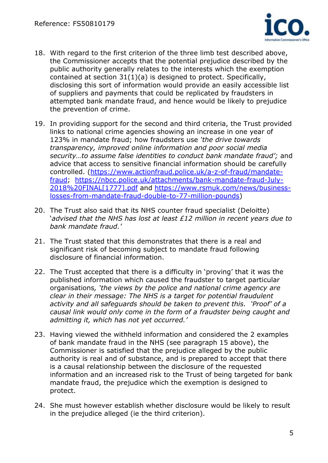

- 18. With regard to the first criterion of the three limb test described above, the Commissioner accepts that the potential prejudice described by the public authority generally relates to the interests which the exemption contained at section 31(1)(a) is designed to protect. Specifically, disclosing this sort of information would provide an easily accessible list of suppliers and payments that could be replicated by fraudsters in attempted bank mandate fraud, and hence would be likely to prejudice the prevention of crime.
- 19. In providing support for the second and third criteria, the Trust provided links to national crime agencies showing an increase in one year of 123% in mandate fraud; how fraudsters use *'the drive towards transparency, improved online information and poor social media security…to assume false identities to conduct bank mandate fraud';* and advice that access to sensitive financial information should be carefully controlled. [\(https://www.actionfraud.police.uk/a-z-of-fraud/mandate](https://www.actionfraud.police.uk/a-z-of-fraud/mandate-fraud)[fraud;](https://www.actionfraud.police.uk/a-z-of-fraud/mandate-fraud) [https://nbcc.police.uk/attachments/bank-mandate-fraud-July-](https://nbcc.police.uk/attachments/bank-mandate-fraud-July-2018%20FINAL%5b1777%5d.pdf)[2018%20FINAL\[1777\].pdf](https://nbcc.police.uk/attachments/bank-mandate-fraud-July-2018%20FINAL%5b1777%5d.pdf) and [https://www.rsmuk.com/news/business](https://www.rsmuk.com/news/business-losses-from-mandate-fraud-double-to-77-million-pounds)[losses-from-mandate-fraud-double-to-77-million-pounds\)](https://www.rsmuk.com/news/business-losses-from-mandate-fraud-double-to-77-million-pounds)
- 20. The Trust also said that its NHS counter fraud specialist (Deloitte) '*advised that the NHS has lost at least £12 million in recent years due to bank mandate fraud.'*
- 21. The Trust stated that this demonstrates that there is a real and significant risk of becoming subject to mandate fraud following disclosure of financial information.
- 22. The Trust accepted that there is a difficulty in 'proving' that it was the published information which caused the fraudster to target particular organisations*, 'the views by the police and national crime agency are clear in their message: The NHS is a target for potential fraudulent activity and all safeguards should be taken to prevent this. 'Proof' of a causal link would only come in the form of a fraudster being caught and admitting it, which has not yet occurred.'*
- 23. Having viewed the withheld information and considered the 2 examples of bank mandate fraud in the NHS (see paragraph 15 above), the Commissioner is satisfied that the prejudice alleged by the public authority is real and of substance, and is prepared to accept that there is a causal relationship between the disclosure of the requested information and an increased risk to the Trust of being targeted for bank mandate fraud, the prejudice which the exemption is designed to protect.
- 24. She must however establish whether disclosure would be likely to result in the prejudice alleged (ie the third criterion).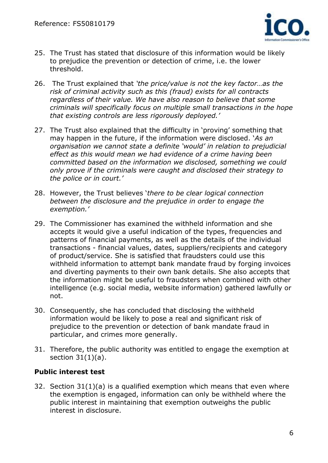

- 25. The Trust has stated that disclosure of this information would be likely to prejudice the prevention or detection of crime, i.e. the lower threshold.
- 26. The Trust explained that *'the price/value is not the key factor…as the risk of criminal activity such as this (fraud) exists for all contracts regardless of their value. We have also reason to believe that some criminals will specifically focus on multiple small transactions in the hope that existing controls are less rigorously deployed.'*
- 27. The Trust also explained that the difficulty in 'proving' something that may happen in the future, if the information were disclosed. '*As an organisation we cannot state a definite 'would' in relation to prejudicial effect as this would mean we had evidence of a crime having been committed based on the information we disclosed, something we could only prove if the criminals were caught and disclosed their strategy to the police or in court.'*
- 28. However, the Trust believes '*there to be clear logical connection between the disclosure and the prejudice in order to engage the exemption.'*
- 29. The Commissioner has examined the withheld information and she accepts it would give a useful indication of the types, frequencies and patterns of financial payments, as well as the details of the individual transactions - financial values, dates, suppliers/recipients and category of product/service. She is satisfied that fraudsters could use this withheld information to attempt bank mandate fraud by forging invoices and diverting payments to their own bank details. She also accepts that the information might be useful to fraudsters when combined with other intelligence (e.g. social media, website information) gathered lawfully or not.
- 30. Consequently, she has concluded that disclosing the withheld information would be likely to pose a real and significant risk of prejudice to the prevention or detection of bank mandate fraud in particular, and crimes more generally.
- 31. Therefore, the public authority was entitled to engage the exemption at section  $31(1)(a)$ .

## **Public interest test**

32. Section 31(1)(a) is a qualified exemption which means that even where the exemption is engaged, information can only be withheld where the public interest in maintaining that exemption outweighs the public interest in disclosure.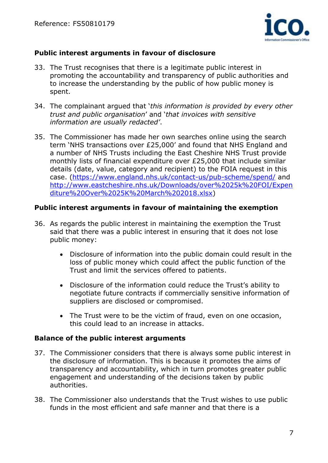

## **Public interest arguments in favour of disclosure**

- 33. The Trust recognises that there is a legitimate public interest in promoting the accountability and transparency of public authorities and to increase the understanding by the public of how public money is spent.
- 34. The complainant argued that '*this information is provided by every other trust and public organisation*' and '*that invoices with sensitive information are usually redacted'*.
- 35. The Commissioner has made her own searches online using the search term 'NHS transactions over £25,000' and found that NHS England and a number of NHS Trusts including the East Cheshire NHS Trust provide monthly lists of financial expenditure over £25,000 that include similar details (date, value, category and recipient) to the FOIA request in this case. [\(https://www.england.nhs.uk/contact-us/pub-scheme/spend/](https://www.england.nhs.uk/contact-us/pub-scheme/spend/) and [http://www.eastcheshire.nhs.uk/Downloads/over%2025k%20FOI/Expen](http://www.eastcheshire.nhs.uk/Downloads/over%2025k%20FOI/Expenditure%20Over%2025K%20March%202018.xlsx) [diture%20Over%2025K%20March%202018.xlsx\)](http://www.eastcheshire.nhs.uk/Downloads/over%2025k%20FOI/Expenditure%20Over%2025K%20March%202018.xlsx)

## **Public interest arguments in favour of maintaining the exemption**

- 36. As regards the public interest in maintaining the exemption the Trust said that there was a public interest in ensuring that it does not lose public money:
	- Disclosure of information into the public domain could result in the loss of public money which could affect the public function of the Trust and limit the services offered to patients.
	- Disclosure of the information could reduce the Trust's ability to negotiate future contracts if commercially sensitive information of suppliers are disclosed or compromised.
	- The Trust were to be the victim of fraud, even on one occasion, this could lead to an increase in attacks.

## **Balance of the public interest arguments**

- 37. The Commissioner considers that there is always some public interest in the disclosure of information. This is because it promotes the aims of transparency and accountability, which in turn promotes greater public engagement and understanding of the decisions taken by public authorities.
- 38. The Commissioner also understands that the Trust wishes to use public funds in the most efficient and safe manner and that there is a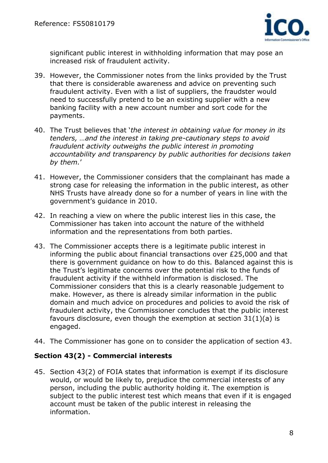

significant public interest in withholding information that may pose an increased risk of fraudulent activity.

- 39. However, the Commissioner notes from the links provided by the Trust that there is considerable awareness and advice on preventing such fraudulent activity. Even with a list of suppliers, the fraudster would need to successfully pretend to be an existing supplier with a new banking facility with a new account number and sort code for the payments.
- 40. The Trust believes that '*the interest in obtaining value for money in its tenders, …and the interest in taking pre-cautionary steps to avoid fraudulent activity outweighs the public interest in promoting accountability and transparency by public authorities for decisions taken by them.*'
- 41. However, the Commissioner considers that the complainant has made a strong case for releasing the information in the public interest, as other NHS Trusts have already done so for a number of years in line with the government's guidance in 2010.
- 42. In reaching a view on where the public interest lies in this case, the Commissioner has taken into account the nature of the withheld information and the representations from both parties.
- 43. The Commissioner accepts there is a legitimate public interest in informing the public about financial transactions over £25,000 and that there is government guidance on how to do this. Balanced against this is the Trust's legitimate concerns over the potential risk to the funds of fraudulent activity if the withheld information is disclosed. The Commissioner considers that this is a clearly reasonable judgement to make. However, as there is already similar information in the public domain and much advice on procedures and policies to avoid the risk of fraudulent activity, the Commissioner concludes that the public interest favours disclosure, even though the exemption at section 31(1)(a) is engaged.
- 44. The Commissioner has gone on to consider the application of section 43.

#### **Section 43(2) - Commercial interests**

45. Section 43(2) of FOIA states that information is exempt if its disclosure would, or would be likely to, prejudice the commercial interests of any person, including the public authority holding it. The exemption is subject to the public interest test which means that even if it is engaged account must be taken of the public interest in releasing the information.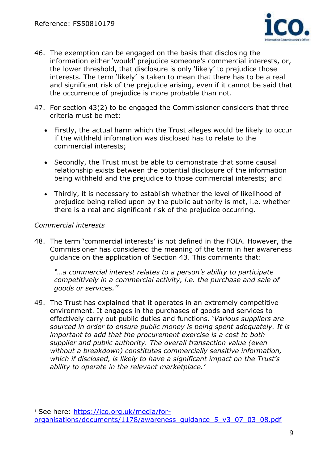

- 46. The exemption can be engaged on the basis that disclosing the information either 'would' prejudice someone's commercial interests, or, the lower threshold, that disclosure is only 'likely' to prejudice those interests. The term 'likely' is taken to mean that there has to be a real and significant risk of the prejudice arising, even if it cannot be said that the occurrence of prejudice is more probable than not.
- 47. For section 43(2) to be engaged the Commissioner considers that three criteria must be met:
	- Firstly, the actual harm which the Trust alleges would be likely to occur if the withheld information was disclosed has to relate to the commercial interests;
	- Secondly, the Trust must be able to demonstrate that some causal relationship exists between the potential disclosure of the information being withheld and the prejudice to those commercial interests; and
	- Thirdly, it is necessary to establish whether the level of likelihood of prejudice being relied upon by the public authority is met, i.e. whether there is a real and significant risk of the prejudice occurring.

#### *Commercial interests*

 $\overline{a}$ 

48. The term 'commercial interests' is not defined in the FOIA. However, the Commissioner has considered the meaning of the term in her awareness guidance on the application of Section 43. This comments that:

*"…a commercial interest relates to a person's ability to participate competitively in a commercial activity, i.e. the purchase and sale of goods or services."*<sup>1</sup>

49. The Trust has explained that it operates in an extremely competitive environment. It engages in the purchases of goods and services to effectively carry out public duties and functions. '*Various suppliers are sourced in order to ensure public money is being spent adequately. It is important to add that the procurement exercise is a cost to both supplier and public authority. The overall transaction value (even without a breakdown) constitutes commercially sensitive information, which if disclosed, is likely to have a significant impact on the Trust's ability to operate in the relevant marketplace.'*

<sup>1</sup> See here: [https://ico.org.uk/media/for](https://ico.org.uk/media/for-organisations/documents/1178/awareness_guidance_5_v3_07_03_08.pdf)[organisations/documents/1178/awareness\\_guidance\\_5\\_v3\\_07\\_03\\_08.pdf](https://ico.org.uk/media/for-organisations/documents/1178/awareness_guidance_5_v3_07_03_08.pdf)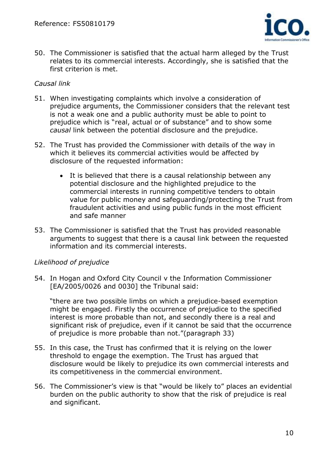

50. The Commissioner is satisfied that the actual harm alleged by the Trust relates to its commercial interests. Accordingly, she is satisfied that the first criterion is met.

#### *Causal link*

- 51. When investigating complaints which involve a consideration of prejudice arguments, the Commissioner considers that the relevant test is not a weak one and a public authority must be able to point to prejudice which is "real, actual or of substance" and to show some *causal* link between the potential disclosure and the prejudice.
- 52. The Trust has provided the Commissioner with details of the way in which it believes its commercial activities would be affected by disclosure of the requested information:
	- It is believed that there is a causal relationship between any potential disclosure and the highlighted prejudice to the commercial interests in running competitive tenders to obtain value for public money and safeguarding/protecting the Trust from fraudulent activities and using public funds in the most efficient and safe manner
- 53. The Commissioner is satisfied that the Trust has provided reasonable arguments to suggest that there is a causal link between the requested information and its commercial interests.

#### *Likelihood of prejudice*

54. In Hogan and Oxford City Council v the Information Commissioner [EA/2005/0026 and 0030] the Tribunal said:

"there are two possible limbs on which a prejudice-based exemption might be engaged. Firstly the occurrence of prejudice to the specified interest is more probable than not, and secondly there is a real and significant risk of prejudice, even if it cannot be said that the occurrence of prejudice is more probable than not."(paragraph 33)

- 55. In this case, the Trust has confirmed that it is relying on the lower threshold to engage the exemption. The Trust has argued that disclosure would be likely to prejudice its own commercial interests and its competitiveness in the commercial environment.
- 56. The Commissioner's view is that "would be likely to" places an evidential burden on the public authority to show that the risk of prejudice is real and significant.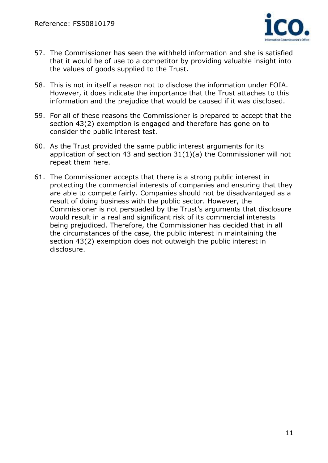

- 57. The Commissioner has seen the withheld information and she is satisfied that it would be of use to a competitor by providing valuable insight into the values of goods supplied to the Trust.
- 58. This is not in itself a reason not to disclose the information under FOIA. However, it does indicate the importance that the Trust attaches to this information and the prejudice that would be caused if it was disclosed.
- 59. For all of these reasons the Commissioner is prepared to accept that the section 43(2) exemption is engaged and therefore has gone on to consider the public interest test.
- 60. As the Trust provided the same public interest arguments for its application of section 43 and section 31(1)(a) the Commissioner will not repeat them here.
- 61. The Commissioner accepts that there is a strong public interest in protecting the commercial interests of companies and ensuring that they are able to compete fairly. Companies should not be disadvantaged as a result of doing business with the public sector. However, the Commissioner is not persuaded by the Trust's arguments that disclosure would result in a real and significant risk of its commercial interests being prejudiced. Therefore, the Commissioner has decided that in all the circumstances of the case, the public interest in maintaining the section 43(2) exemption does not outweigh the public interest in disclosure.